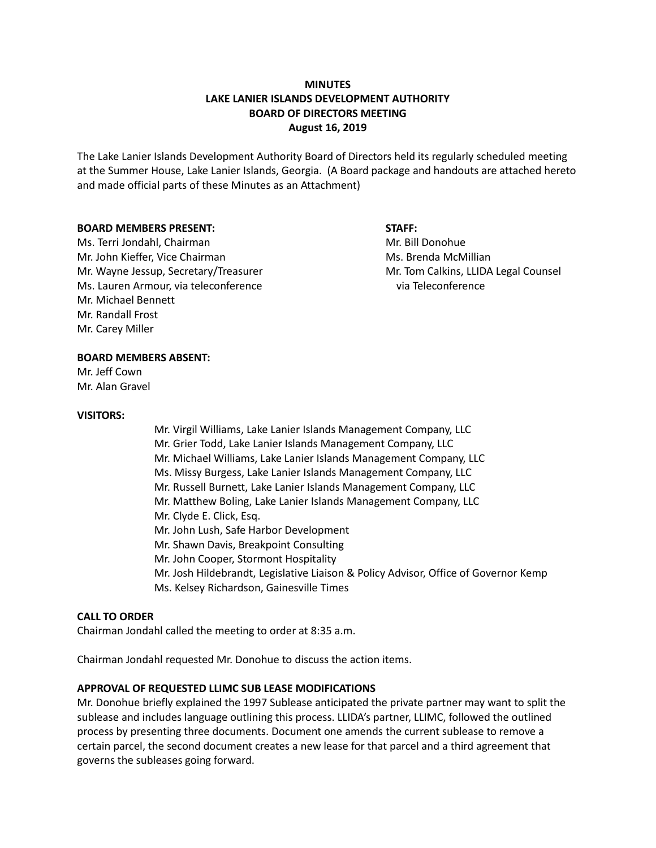## **MINUTES LAKE LANIER ISLANDS DEVELOPMENT AUTHORITY BOARD OF DIRECTORS MEETING August 16, 2019**

The Lake Lanier Islands Development Authority Board of Directors held its regularly scheduled meeting at the Summer House, Lake Lanier Islands, Georgia. (A Board package and handouts are attached hereto and made official parts of these Minutes as an Attachment)

#### **BOARD MEMBERS PRESENT: STAFF:**

Ms. Terri Jondahl, Chairman Mr. Bill Donohue Mr. John Kieffer, Vice Chairman Ms. Brenda McMillian Ms. Brenda McMillian Mr. Wayne Jessup, Secretary/Treasurer Mr. Tom Calkins, LLIDA Legal Counsel Ms. Lauren Armour, via teleconference via Teleconference Mr. Michael Bennett Mr. Randall Frost Mr. Carey Miller

### **BOARD MEMBERS ABSENT:**

Mr. Jeff Cown Mr. Alan Gravel

### **VISITORS:**

Mr. Virgil Williams, Lake Lanier Islands Management Company, LLC Mr. Grier Todd, Lake Lanier Islands Management Company, LLC Mr. Michael Williams, Lake Lanier Islands Management Company, LLC Ms. Missy Burgess, Lake Lanier Islands Management Company, LLC Mr. Russell Burnett, Lake Lanier Islands Management Company, LLC Mr. Matthew Boling, Lake Lanier Islands Management Company, LLC Mr. Clyde E. Click, Esq. Mr. John Lush, Safe Harbor Development Mr. Shawn Davis, Breakpoint Consulting Mr. John Cooper, Stormont Hospitality Mr. Josh Hildebrandt, Legislative Liaison & Policy Advisor, Office of Governor Kemp Ms. Kelsey Richardson, Gainesville Times

### **CALL TO ORDER**

Chairman Jondahl called the meeting to order at 8:35 a.m.

Chairman Jondahl requested Mr. Donohue to discuss the action items.

### **APPROVAL OF REQUESTED LLIMC SUB LEASE MODIFICATIONS**

Mr. Donohue briefly explained the 1997 Sublease anticipated the private partner may want to split the sublease and includes language outlining this process. LLIDA's partner, LLIMC, followed the outlined process by presenting three documents. Document one amends the current sublease to remove a certain parcel, the second document creates a new lease for that parcel and a third agreement that governs the subleases going forward.